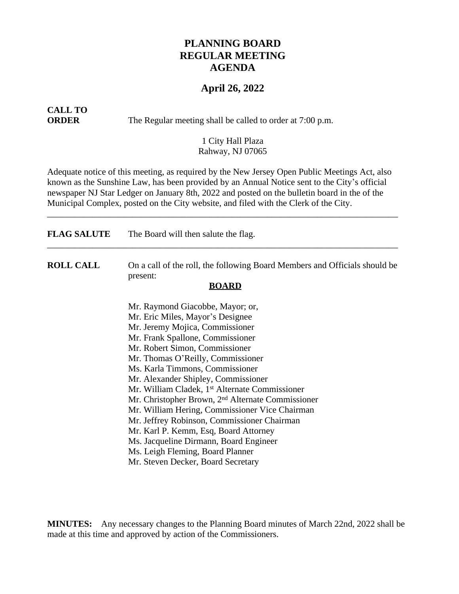## **PLANNING BOARD REGULAR MEETING AGENDA**

### **April 26, 2022**

# **CALL TO**

**ORDER** The Regular meeting shall be called to order at 7:00 p.m.

#### 1 City Hall Plaza Rahway, NJ 07065

Adequate notice of this meeting, as required by the New Jersey Open Public Meetings Act, also known as the Sunshine Law, has been provided by an Annual Notice sent to the City's official newspaper NJ Star Ledger on January 8th, 2022 and posted on the bulletin board in the of the Municipal Complex, posted on the City website, and filed with the Clerk of the City.

\_\_\_\_\_\_\_\_\_\_\_\_\_\_\_\_\_\_\_\_\_\_\_\_\_\_\_\_\_\_\_\_\_\_\_\_\_\_\_\_\_\_\_\_\_\_\_\_\_\_\_\_\_\_\_\_\_\_\_\_\_\_\_\_\_\_\_\_\_\_\_\_\_\_\_\_\_\_

| <b>FLAG SALUTE</b> | The Board will then salute the flag.                                                                   |
|--------------------|--------------------------------------------------------------------------------------------------------|
| <b>ROLL CALL</b>   | On a call of the roll, the following Board Members and Officials should be<br>present:<br><b>BOARD</b> |
|                    | Mr. Raymond Giacobbe, Mayor; or,                                                                       |
|                    | Mr. Eric Miles, Mayor's Designee                                                                       |
|                    | Mr. Jeremy Mojica, Commissioner                                                                        |
|                    | Mr. Frank Spallone, Commissioner                                                                       |
|                    | Mr. Robert Simon, Commissioner                                                                         |
|                    | Mr. Thomas O'Reilly, Commissioner                                                                      |
|                    | Ms. Karla Timmons, Commissioner                                                                        |
|                    | Mr. Alexander Shipley, Commissioner                                                                    |
|                    | Mr. William Cladek, 1 <sup>st</sup> Alternate Commissioner                                             |
|                    | Mr. Christopher Brown, 2 <sup>nd</sup> Alternate Commissioner                                          |
|                    | Mr. William Hering, Commissioner Vice Chairman                                                         |
|                    | Mr. Jeffrey Robinson, Commissioner Chairman                                                            |
|                    | Mr. Karl P. Kemm, Esq, Board Attorney                                                                  |
|                    | Ms. Jacqueline Dirmann, Board Engineer                                                                 |
|                    | Ms. Leigh Fleming, Board Planner                                                                       |
|                    | Mr. Steven Decker, Board Secretary                                                                     |

**MINUTES:** Any necessary changes to the Planning Board minutes of March 22nd, 2022 shall be made at this time and approved by action of the Commissioners.